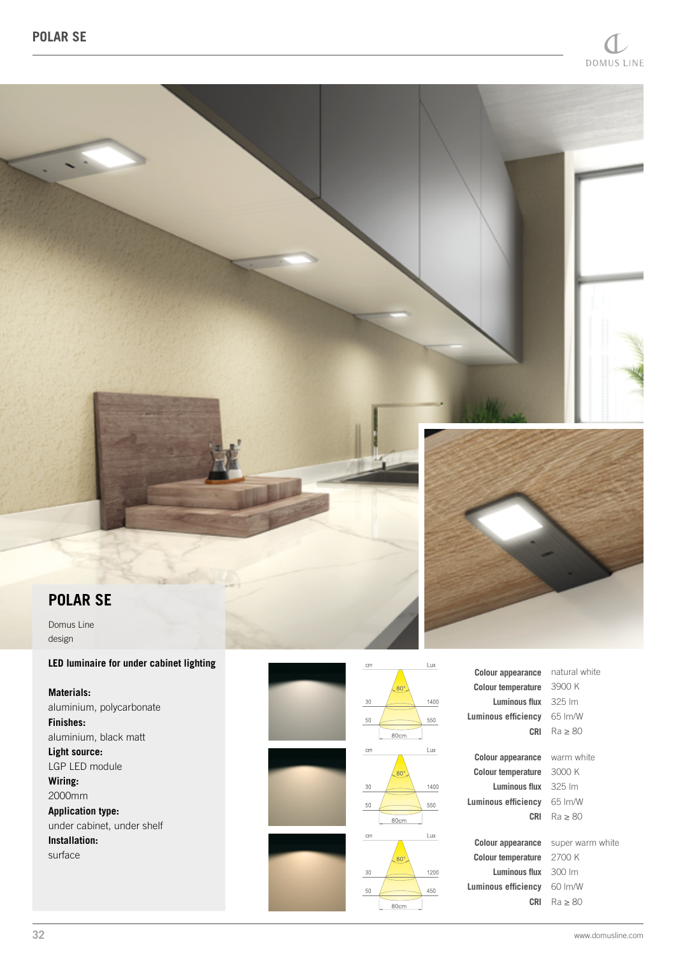

# **POLAR SE**

Domus Line design

## **LED luminaire for under cabinet lighting**

**Materials:** aluminium, polycarbonate **Finishes:** aluminium, black matt **Light source:** LGP LED module **Wiring:** 2000mm **Application type:** under cabinet, under shelf **Installation:** surface